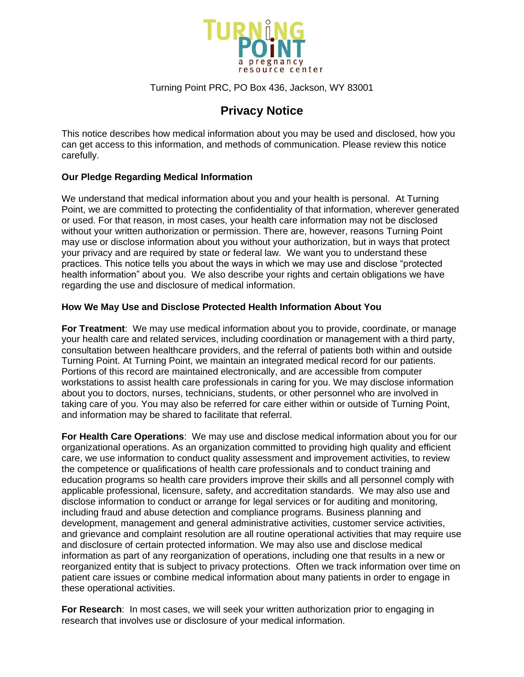

## Turning Point PRC, PO Box 436, Jackson, WY 83001

## **Privacy Notice**

This notice describes how medical information about you may be used and disclosed, how you can get access to this information, and methods of communication. Please review this notice carefully.

## **Our Pledge Regarding Medical Information**

We understand that medical information about you and your health is personal. At Turning Point, we are committed to protecting the confidentiality of that information, wherever generated or used. For that reason, in most cases, your health care information may not be disclosed without your written authorization or permission. There are, however, reasons Turning Point may use or disclose information about you without your authorization, but in ways that protect your privacy and are required by state or federal law. We want you to understand these practices. This notice tells you about the ways in which we may use and disclose "protected health information" about you. We also describe your rights and certain obligations we have regarding the use and disclosure of medical information.

## **How We May Use and Disclose Protected Health Information About You**

**For Treatment**: We may use medical information about you to provide, coordinate, or manage your health care and related services, including coordination or management with a third party, consultation between healthcare providers, and the referral of patients both within and outside Turning Point. At Turning Point, we maintain an integrated medical record for our patients. Portions of this record are maintained electronically, and are accessible from computer workstations to assist health care professionals in caring for you. We may disclose information about you to doctors, nurses, technicians, students, or other personnel who are involved in taking care of you. You may also be referred for care either within or outside of Turning Point, and information may be shared to facilitate that referral.

**For Health Care Operations**: We may use and disclose medical information about you for our organizational operations. As an organization committed to providing high quality and efficient care, we use information to conduct quality assessment and improvement activities, to review the competence or qualifications of health care professionals and to conduct training and education programs so health care providers improve their skills and all personnel comply with applicable professional, licensure, safety, and accreditation standards. We may also use and disclose information to conduct or arrange for legal services or for auditing and monitoring, including fraud and abuse detection and compliance programs. Business planning and development, management and general administrative activities, customer service activities, and grievance and complaint resolution are all routine operational activities that may require use and disclosure of certain protected information. We may also use and disclose medical information as part of any reorganization of operations, including one that results in a new or reorganized entity that is subject to privacy protections. Often we track information over time on patient care issues or combine medical information about many patients in order to engage in these operational activities.

**For Research**: In most cases, we will seek your written authorization prior to engaging in research that involves use or disclosure of your medical information.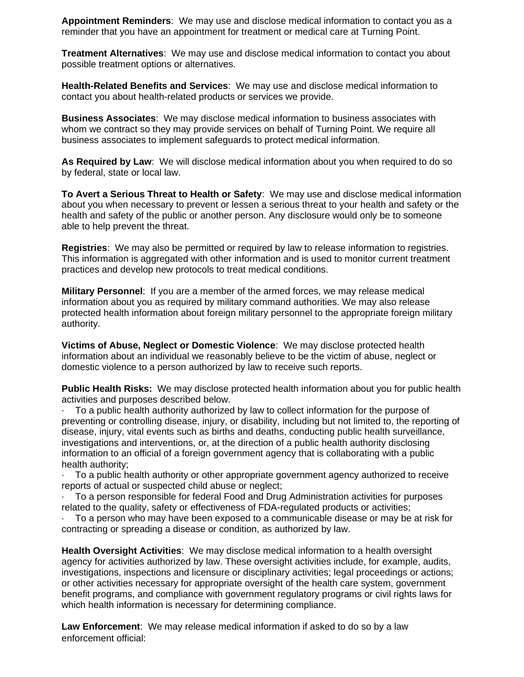**Appointment Reminders**: We may use and disclose medical information to contact you as a reminder that you have an appointment for treatment or medical care at Turning Point.

**Treatment Alternatives**: We may use and disclose medical information to contact you about possible treatment options or alternatives.

**Health-Related Benefits and Services**: We may use and disclose medical information to contact you about health-related products or services we provide.

**Business Associates**: We may disclose medical information to business associates with whom we contract so they may provide services on behalf of Turning Point. We require all business associates to implement safeguards to protect medical information.

**As Required by Law**: We will disclose medical information about you when required to do so by federal, state or local law.

**To Avert a Serious Threat to Health or Safety**: We may use and disclose medical information about you when necessary to prevent or lessen a serious threat to your health and safety or the health and safety of the public or another person. Any disclosure would only be to someone able to help prevent the threat.

**Registries**: We may also be permitted or required by law to release information to registries. This information is aggregated with other information and is used to monitor current treatment practices and develop new protocols to treat medical conditions.

**Military Personnel**: If you are a member of the armed forces, we may release medical information about you as required by military command authorities. We may also release protected health information about foreign military personnel to the appropriate foreign military authority.

**Victims of Abuse, Neglect or Domestic Violence**: We may disclose protected health information about an individual we reasonably believe to be the victim of abuse, neglect or domestic violence to a person authorized by law to receive such reports.

**Public Health Risks:** We may disclose protected health information about you for public health activities and purposes described below.

· To a public health authority authorized by law to collect information for the purpose of preventing or controlling disease, injury, or disability, including but not limited to, the reporting of disease, injury, vital events such as births and deaths, conducting public health surveillance, investigations and interventions, or, at the direction of a public health authority disclosing information to an official of a foreign government agency that is collaborating with a public health authority;

· To a public health authority or other appropriate government agency authorized to receive reports of actual or suspected child abuse or neglect;

· To a person responsible for federal Food and Drug Administration activities for purposes related to the quality, safety or effectiveness of FDA-regulated products or activities;

· To a person who may have been exposed to a communicable disease or may be at risk for contracting or spreading a disease or condition, as authorized by law.

**Health Oversight Activities**: We may disclose medical information to a health oversight agency for activities authorized by law. These oversight activities include, for example, audits, investigations, inspections and licensure or disciplinary activities; legal proceedings or actions; or other activities necessary for appropriate oversight of the health care system, government benefit programs, and compliance with government regulatory programs or civil rights laws for which health information is necessary for determining compliance.

**Law Enforcement**: We may release medical information if asked to do so by a law enforcement official: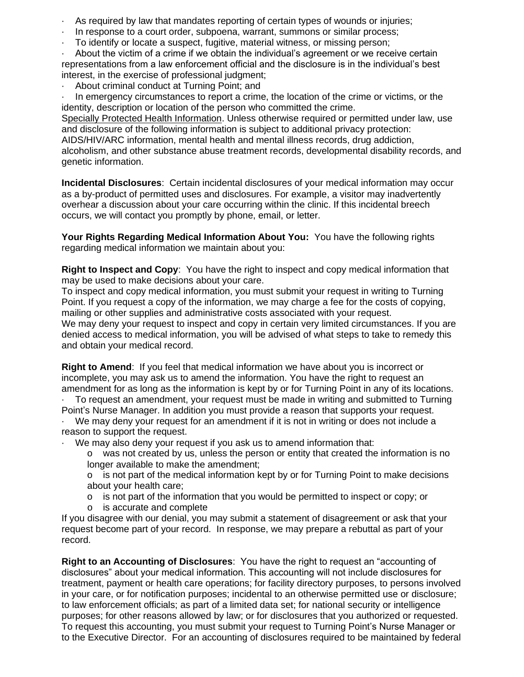- As required by law that mandates reporting of certain types of wounds or injuries;
- In response to a court order, subpoena, warrant, summons or similar process;
- · To identify or locate a suspect, fugitive, material witness, or missing person;

· About the victim of a crime if we obtain the individual's agreement or we receive certain representations from a law enforcement official and the disclosure is in the individual's best interest, in the exercise of professional judgment;

About criminal conduct at Turning Point: and

In emergency circumstances to report a crime, the location of the crime or victims, or the identity, description or location of the person who committed the crime.

Specially Protected Health Information. Unless otherwise required or permitted under law, use and disclosure of the following information is subject to additional privacy protection: AIDS/HIV/ARC information, mental health and mental illness records, drug addiction, alcoholism, and other substance abuse treatment records, developmental disability records, and genetic information.

**Incidental Disclosures**: Certain incidental disclosures of your medical information may occur as a by-product of permitted uses and disclosures. For example, a visitor may inadvertently overhear a discussion about your care occurring within the clinic. If this incidental breech occurs, we will contact you promptly by phone, email, or letter.

**Your Rights Regarding Medical Information About You:** You have the following rights regarding medical information we maintain about you:

**Right to Inspect and Copy**: You have the right to inspect and copy medical information that may be used to make decisions about your care.

To inspect and copy medical information, you must submit your request in writing to Turning Point. If you request a copy of the information, we may charge a fee for the costs of copying, mailing or other supplies and administrative costs associated with your request.

We may deny your request to inspect and copy in certain very limited circumstances. If you are denied access to medical information, you will be advised of what steps to take to remedy this and obtain your medical record.

**Right to Amend**: If you feel that medical information we have about you is incorrect or incomplete, you may ask us to amend the information. You have the right to request an amendment for as long as the information is kept by or for Turning Point in any of its locations.

· To request an amendment, your request must be made in writing and submitted to Turning Point's Nurse Manager. In addition you must provide a reason that supports your request.

We may deny your request for an amendment if it is not in writing or does not include a reason to support the request.

We may also deny your request if you ask us to amend information that:

o was not created by us, unless the person or entity that created the information is no longer available to make the amendment;

o is not part of the medical information kept by or for Turning Point to make decisions about your health care;

- o is not part of the information that you would be permitted to inspect or copy; or
- o is accurate and complete

If you disagree with our denial, you may submit a statement of disagreement or ask that your request become part of your record. In response, we may prepare a rebuttal as part of your record.

**Right to an Accounting of Disclosures**: You have the right to request an "accounting of disclosures" about your medical information. This accounting will not include disclosures for treatment, payment or health care operations; for facility directory purposes, to persons involved in your care, or for notification purposes; incidental to an otherwise permitted use or disclosure; to law enforcement officials; as part of a limited data set; for national security or intelligence purposes; for other reasons allowed by law; or for disclosures that you authorized or requested. To request this accounting, you must submit your request to Turning Point's Nurse Manager or to the Executive Director. For an accounting of disclosures required to be maintained by federal